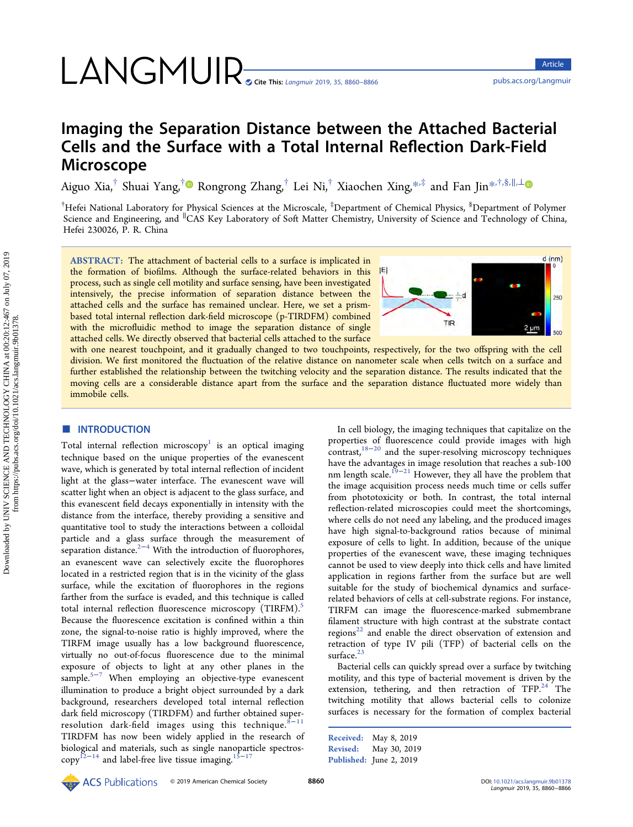# LANGMUIR<sub>®</sub>Cite This: Langmuir [2019, 35, 8860](http://pubs.acs.org/action/showCitFormats?doi=10.1021/acs.langmuir.9b01378)–8866 <pubs.acs.org/Langmuir>

# Imaging the Separation Distance between the Attached Bacterial Cells and the Surface with a Total Internal Reflection Dark-Field Microscope

Aiguo Xia,<sup>[†](#page-5-0)</sup> Shuai Yang,<sup>†</sup> Rongrong Zhang,<sup>†</sup> Lei Ni,<sup>†</sup> Xiaochen Xing,<sup>[\\*](#page-5-0),‡</sup> and Fan Jin<sup>\*,†,§,∥,[⊥](#page-5-0)</sup>

 $^\dagger$ Hefei National Laboratory for Physical Sciences at the Microscale,  $^\ddag$ Department of Chemical Physics,  $^\$,$ Department of Polymer Science and Engineering, and <sup>∥</sup>CAS Key Laboratory of Soft Matter Chemistry, University of Science and Technology of China, Hefei 230026, P. R. China

ABSTRACT: The attachment of bacterial cells to a surface is implicated in the formation of biofilms. Although the surface-related behaviors in this process, such as single cell motility and surface sensing, have been investigated intensively, the precise information of separation distance between the attached cells and the surface has remained unclear. Here, we set a prismbased total internal reflection dark-field microscope (p-TIRDFM) combined with the microfluidic method to image the separation distance of single attached cells. We directly observed that bacterial cells attached to the surface



with one nearest touchpoint, and it gradually changed to two touchpoints, respectively, for the two offspring with the cell division. We first monitored the fluctuation of the relative distance on nanometer scale when cells twitch on a surface and further established the relationship between the twitching velocity and the separation distance. The results indicated that the moving cells are a considerable distance apart from the surface and the separation distance fluctuated more widely than immobile cells.

## ■ INTRODUCTION

Total internal reflection microscopy<sup>[1](#page-5-0)</sup> is an optical imaging technique based on the unique properties of the evanescent wave, which is generated by total internal reflection of incident light at the glass−water interface. The evanescent wave will scatter light when an object is adjacent to the glass surface, and this evanescent field decays exponentially in intensity with the distance from the interface, thereby providing a sensitive and quantitative tool to study the interactions between a colloidal particle and a glass surface through the measurement of separation distance.<sup>[2](#page-5-0)−[4](#page-5-0)</sup> With the introduction of fluorophores, an evanescent wave can selectively excite the fluorophores located in a restricted region that is in the vicinity of the glass surface, while the excitation of fluorophores in the regions farther from the surface is evaded, and this technique is called total internal reflection fluorescence microscopy (TIRFM).<sup>[5](#page-5-0)</sup> Because the fluorescence excitation is confined within a thin zone, the signal-to-noise ratio is highly improved, where the TIRFM image usually has a low background fluorescence, virtually no out-of-focus fluorescence due to the minimal exposure of objects to light at any other planes in the sample. $5-7$  $5-7$  $5-7$  When employing an objective-type evanescent illumination to produce a bright object surrounded by a dark background, researchers developed total internal reflection dark field microscopy (TIRDFM) and further obtained superresolution dark-field images using this technique. $8-11$  $8-11$  $8-11$ TIRDFM has now been widely applied in the research of biological and materials, such as single nanoparticle spectros-copy<sup>[12](#page-5-0)−[14](#page-5-0)</sup> and label-free live tissue imaging.<sup>15−[17](#page-5-0)</sup>

In cell biology, the imaging techniques that capitalize on the properties of fluorescence could provide images with high  $\frac{1}{2}$  contrast,<sup>[18](#page-5-0)−[20](#page-5-0)</sup> and the super-resolving microscopy techniques have the advantages in image resolution that reaches a sub-100 nm length scale.<sup>[19](#page-5-0)−[21](#page-5-0)</sup> However, they all have the problem that the image acquisition process needs much time or cells suffer from phototoxicity or both. In contrast, the total internal reflection-related microscopies could meet the shortcomings, where cells do not need any labeling, and the produced images have high signal-to-background ratios because of minimal exposure of cells to light. In addition, because of the unique properties of the evanescent wave, these imaging techniques cannot be used to view deeply into thick cells and have limited application in regions farther from the surface but are well suitable for the study of biochemical dynamics and surfacerelated behaviors of cells at cell-substrate regions. For instance, TIRFM can image the fluorescence-marked submembrane filament structure with high contrast at the substrate contact regions<sup>[22](#page-5-0)</sup> and enable the direct observation of extension and retraction of type IV pili (TFP) of bacterial cells on the surface.<sup>[23](#page-5-0)</sup>

Bacterial cells can quickly spread over a surface by twitching motility, and this type of bacterial movement is driven by the extension, tethering, and then retraction of TFP.<sup>[24](#page-5-0)</sup> The twitching motility that allows bacterial cells to colonize surfaces is necessary for the formation of complex bacterial

```
Received: May 8, 2019
Revised: May 30, 2019
Published: June 2, 2019
```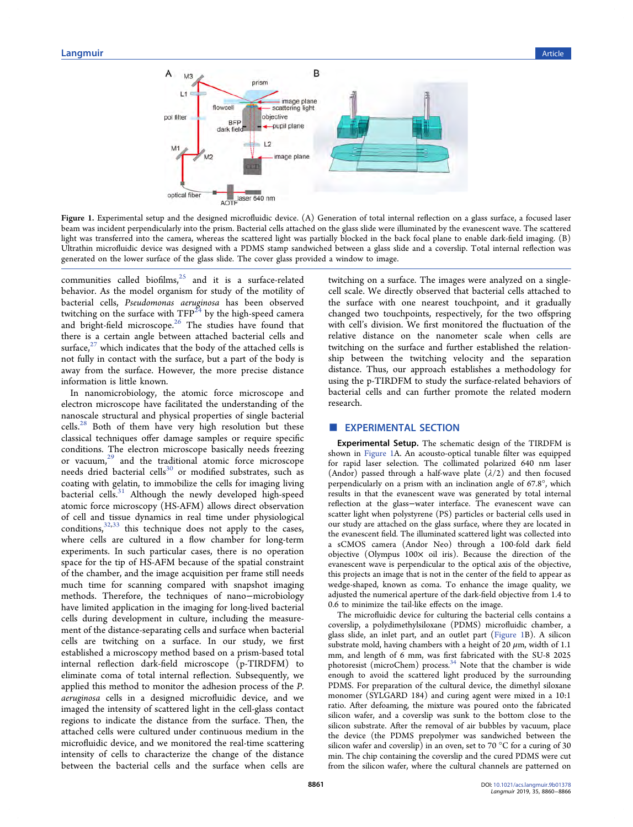<span id="page-1-0"></span>

Figure 1. Experimental setup and the designed microfluidic device. (A) Generation of total internal reflection on a glass surface, a focused laser beam was incident perpendicularly into the prism. Bacterial cells attached on the glass slide were illuminated by the evanescent wave. The scattered light was transferred into the camera, whereas the scattered light was partially blocked in the back focal plane to enable dark-field imaging. (B) Ultrathin microfluidic device was designed with a PDMS stamp sandwiched between a glass slide and a coverslip. Total internal reflection was generated on the lower surface of the glass slide. The cover glass provided a window to image.

communities called biofilms, $^{25}$  $^{25}$  $^{25}$  and it is a surface-related behavior. As the model organism for study of the motility of bacterial cells, Pseudomonas aeruginosa has been observed twitching on the surface with  $\text{TFP}^{\mathbb{Z}4}$  by the high-speed camera and bright-field microscope.<sup>26</sup> The studies have found that there is a certain angle between attached bacterial cells and surface, $27$  which indicates that the body of the attached cells is not fully in contact with the surface, but a part of the body is away from the surface. However, the more precise distance information is little known.

In nanomicrobiology, the atomic force microscope and electron microscope have facilitated the understanding of the nanoscale structural and physical properties of single bacterial cells.<sup>[28](#page-5-0)</sup> Both of them have very high resolution but these classical techniques offer damage samples or require specific conditions. The electron microscope basically needs freezing or vacuum,<sup>[29](#page-5-0)</sup> and the traditional atomic force microscope needs dried bacterial cells<sup>30</sup> or modified substrates, such as coating with gelatin, to immobilize the cells for imaging living bacterial cells.<sup>31</sup> Although the newly developed high-speed atomic force microscopy (HS-AFM) allows direct observation of cell and tissue dynamics in real time under physiological conditions, $32,33$  this technique does not apply to the cases, where cells are cultured in a flow chamber for long-term experiments. In such particular cases, there is no operation space for the tip of HS-AFM because of the spatial constraint of the chamber, and the image acquisition per frame still needs much time for scanning compared with snapshot imaging methods. Therefore, the techniques of nano−microbiology have limited application in the imaging for long-lived bacterial cells during development in culture, including the measurement of the distance-separating cells and surface when bacterial cells are twitching on a surface. In our study, we first established a microscopy method based on a prism-based total internal reflection dark-field microscope (p-TIRDFM) to eliminate coma of total internal reflection. Subsequently, we applied this method to monitor the adhesion process of the P. aeruginosa cells in a designed microfluidic device, and we imaged the intensity of scattered light in the cell-glass contact regions to indicate the distance from the surface. Then, the attached cells were cultured under continuous medium in the microfluidic device, and we monitored the real-time scattering intensity of cells to characterize the change of the distance between the bacterial cells and the surface when cells are

twitching on a surface. The images were analyzed on a singlecell scale. We directly observed that bacterial cells attached to the surface with one nearest touchpoint, and it gradually changed two touchpoints, respectively, for the two offspring with cell's division. We first monitored the fluctuation of the relative distance on the nanometer scale when cells are twitching on the surface and further established the relationship between the twitching velocity and the separation distance. Thus, our approach establishes a methodology for using the p-TIRDFM to study the surface-related behaviors of bacterial cells and can further promote the related modern research.

## **EXPERIMENTAL SECTION**

Experimental Setup. The schematic design of the TIRDFM is shown in Figure 1A. An acousto-optical tunable filter was equipped for rapid laser selection. The collimated polarized 640 nm laser (Andor) passed through a half-wave plate  $(\lambda/2)$  and then focused perpendicularly on a prism with an inclination angle of 67.8°, which results in that the evanescent wave was generated by total internal reflection at the glass−water interface. The evanescent wave can scatter light when polystyrene (PS) particles or bacterial cells used in our study are attached on the glass surface, where they are located in the evanescent field. The illuminated scattered light was collected into a sCMOS camera (Andor Neo) through a 100-fold dark field objective (Olympus 100× oil iris). Because the direction of the evanescent wave is perpendicular to the optical axis of the objective, this projects an image that is not in the center of the field to appear as wedge-shaped, known as coma. To enhance the image quality, we adjusted the numerical aperture of the dark-field objective from 1.4 to 0.6 to minimize the tail-like effects on the image.

The microfluidic device for culturing the bacterial cells contains a coverslip, a polydimethylsiloxane (PDMS) microfluidic chamber, a glass slide, an inlet part, and an outlet part (Figure 1B). A silicon substrate mold, having chambers with a height of 20  $\mu$ m, width of 1.1 mm, and length of 6 mm, was first fabricated with the SU-8 2025 photoresist (microChem) process.<sup>[34](#page-6-0)</sup> Note that the chamber is wide enough to avoid the scattered light produced by the surrounding PDMS. For preparation of the cultural device, the dimethyl siloxane monomer (SYLGARD 184) and curing agent were mixed in a 10:1 ratio. After defoaming, the mixture was poured onto the fabricated silicon wafer, and a coverslip was sunk to the bottom close to the silicon substrate. After the removal of air bubbles by vacuum, place the device (the PDMS prepolymer was sandwiched between the silicon wafer and coverslip) in an oven, set to 70  $^{\circ}$ C for a curing of 30 min. The chip containing the coverslip and the cured PDMS were cut from the silicon wafer, where the cultural channels are patterned on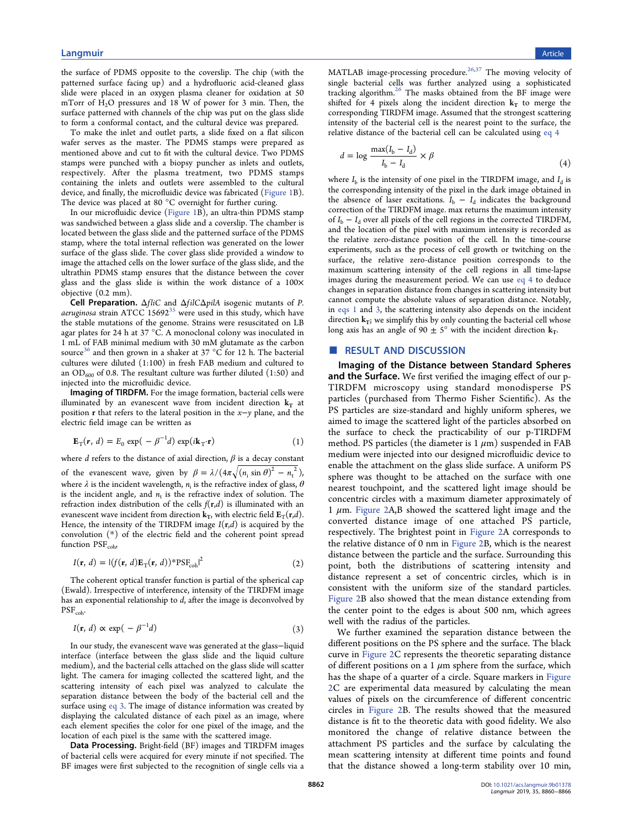## ang multiple of the control of the control of the control of the control of the control of the control of the c<br>Article of the control of the control of the control of the control of the control of the control of the contr

the surface of PDMS opposite to the coverslip. The chip (with the patterned surface facing up) and a hydrofluoric acid-cleaned glass slide were placed in an oxygen plasma cleaner for oxidation at 50 mTorr of  $H<sub>2</sub>O$  pressures and 18 W of power for 3 min. Then, the surface patterned with channels of the chip was put on the glass slide to form a conformal contact, and the cultural device was prepared.

To make the inlet and outlet parts, a slide fixed on a flat silicon wafer serves as the master. The PDMS stamps were prepared as mentioned above and cut to fit with the cultural device. Two PDMS stamps were punched with a biopsy puncher as inlets and outlets, respectively. After the plasma treatment, two PDMS stamps containing the inlets and outlets were assembled to the cultural device, and finally, the microfluidic device was fabricated [\(Figure 1B](#page-1-0)). The device was placed at 80 °C overnight for further curing.

In our microfluidic device ([Figure 1B](#page-1-0)), an ultra-thin PDMS stamp was sandwiched between a glass slide and a coverslip. The chamber is located between the glass slide and the patterned surface of the PDMS stamp, where the total internal reflection was generated on the lower surface of the glass slide. The cover glass slide provided a window to image the attached cells on the lower surface of the glass slide, and the ultrathin PDMS stamp ensures that the distance between the cover glass and the glass slide is within the work distance of a 100× objective (0.2 mm).

Cell Preparation. ΔfliC and ΔfilCΔpilA isogenic mutants of P. aeruginosa strain ATCC  $15692^{35}$  $15692^{35}$  $15692^{35}$  were used in this study, which have the stable mutations of the genome. Strains were resuscitated on LB agar plates for 24 h at 37 °C. A monoclonal colony was inoculated in 1 mL of FAB minimal medium with 30 mM glutamate as the carbon source<sup>[36](#page-6-0)</sup> and then grown in a shaker at 37 °C for 12 h. The bacterial cultures were diluted (1:100) in fresh FAB medium and cultured to an OD<sub>600</sub> of 0.8. The resultant culture was further diluted  $(1:50)$  and injected into the microfluidic device.

Imaging of TIRDFM. For the image formation, bacterial cells were illuminated by an evanescent wave from incident direction  $k_T$  at position r that refers to the lateral position in the x−y plane, and the electric field image can be written as

$$
\mathbf{E}_{\mathrm{T}}(\mathbf{r}, d) = E_0 \exp(-\beta^{-1} d) \exp(i\mathbf{k}_{\mathrm{T}} \cdot \mathbf{r})
$$
 (1)

where  $d$  refers to the distance of axial direction,  $\beta$  is a decay constant of the evanescent wave, given by  $\beta = \lambda/(4\pi \sqrt{(n_i \sin \theta)^2 - n_t^2})$ , where  $\lambda$  is the incident wavelength,  $n_i$  is the refractive index of glass,  $\theta$ is the incident angle, and  $n_t$  is the refractive index of solution. The refraction index distribution of the cells  $f(r,d)$  is illuminated with an evanescent wave incident from direction  $\mathbf{k}_T$ , with electric field  $\mathbf{E}_T(\mathbf{r},d)$ . Hence, the intensity of the TIRDFM image  $I(r,d)$  is acquired by the convolution (\*) of the electric field and the coherent point spread function  $PSF_{\text{coh}}$ 

$$
I(\mathbf{r}, d) = |(f(\mathbf{r}, d)\mathbf{E}_{\mathrm{T}}(\mathbf{r}, d))^* \mathrm{PSF}_{\mathrm{coh}}|^2 \tag{2}
$$

The coherent optical transfer function is partial of the spherical cap (Ewald). Irrespective of interference, intensity of the TIRDFM image has an exponential relationship to d, after the image is deconvolved by  $PSF_{coh}.$ 

$$
I(\mathbf{r}, d) \propto \exp(-\beta^{-1} d) \tag{3}
$$

In our study, the evanescent wave was generated at the glass−liquid interface (interface between the glass slide and the liquid culture medium), and the bacterial cells attached on the glass slide will scatter light. The camera for imaging collected the scattered light, and the scattering intensity of each pixel was analyzed to calculate the separation distance between the body of the bacterial cell and the surface using eq 3. The image of distance information was created by displaying the calculated distance of each pixel as an image, where each element specifies the color for one pixel of the image, and the location of each pixel is the same with the scattered image.

Data Processing. Bright-field (BF) images and TIRDFM images of bacterial cells were acquired for every minute if not specified. The BF images were first subjected to the recognition of single cells via a MATLAB image-processing procedure[.26,](#page-5-0)[37](#page-6-0) The moving velocity of single bacterial cells was further analyzed using a sophisticated tracking algorithm[.26](#page-5-0) The masks obtained from the BF image were shifted for 4 pixels along the incident direction  $k_T$  to merge the corresponding TIRDFM image. Assumed that the strongest scattering intensity of the bacterial cell is the nearest point to the surface, the relative distance of the bacterial cell can be calculated using eq 4

$$
d = \log \frac{\max(I_b - I_d)}{I_b - I_d} \times \beta \tag{4}
$$

where  $I<sub>b</sub>$  is the intensity of one pixel in the TIRDFM image, and  $I<sub>d</sub>$  is the corresponding intensity of the pixel in the dark image obtained in the absence of laser excitations.  $I_b - I_d$  indicates the background correction of the TIRDFM image. max returns the maximum intensity of  $I<sub>b</sub> - I<sub>d</sub>$  over all pixels of the cell regions in the corrected TIRDFM, and the location of the pixel with maximum intensity is recorded as the relative zero-distance position of the cell. In the time-course experiments, such as the process of cell growth or twitching on the surface, the relative zero-distance position corresponds to the maximum scattering intensity of the cell regions in all time-lapse images during the measurement period. We can use eq 4 to deduce changes in separation distance from changes in scattering intensity but cannot compute the absolute values of separation distance. Notably, in eqs 1 and 3, the scattering intensity also depends on the incident direction  $k_T$ ; we simplify this by only counting the bacterial cell whose long axis has an angle of 90  $\pm$  5° with the incident direction  $k_T$ .

#### ■ RESULT AND DISCUSSION

Imaging of the Distance between Standard Spheres **and the Surface.** We first verified the imaging effect of our p-TIRDFM microscopy using standard monodisperse PS particles (purchased from Thermo Fisher Scientific). As the PS particles are size-standard and highly uniform spheres, we aimed to image the scattered light of the particles absorbed on the surface to check the practicability of our p-TIRDFM method. PS particles (the diameter is  $1 \mu m$ ) suspended in FAB medium were injected into our designed microfluidic device to enable the attachment on the glass slide surface. A uniform PS sphere was thought to be attached on the surface with one nearest touchpoint, and the scattered light image should be concentric circles with a maximum diameter approximately of 1  $\mu$ m. [Figure 2](#page-3-0)A,B showed the scattered light image and the converted distance image of one attached PS particle, respectively. The brightest point in [Figure 2](#page-3-0)A corresponds to the relative distance of 0 nm in [Figure 2](#page-3-0)B, which is the nearest distance between the particle and the surface. Surrounding this point, both the distributions of scattering intensity and distance represent a set of concentric circles, which is in consistent with the uniform size of the standard particles. [Figure 2B](#page-3-0) also showed that the mean distance extending from the center point to the edges is about 500 nm, which agrees well with the radius of the particles.

We further examined the separation distance between the different positions on the PS sphere and the surface. The black curve in [Figure 2C](#page-3-0) represents the theoretic separating distance of different positions on a 1  $\mu$ m sphere from the surface, which has the shape of a quarter of a circle. Square markers in [Figure](#page-3-0) [2](#page-3-0)C are experimental data measured by calculating the mean values of pixels on the circumference of different concentric circles in [Figure 2B](#page-3-0). The results showed that the measured distance is fit to the theoretic data with good fidelity. We also monitored the change of relative distance between the attachment PS particles and the surface by calculating the mean scattering intensity at different time points and found that the distance showed a long-term stability over 10 min,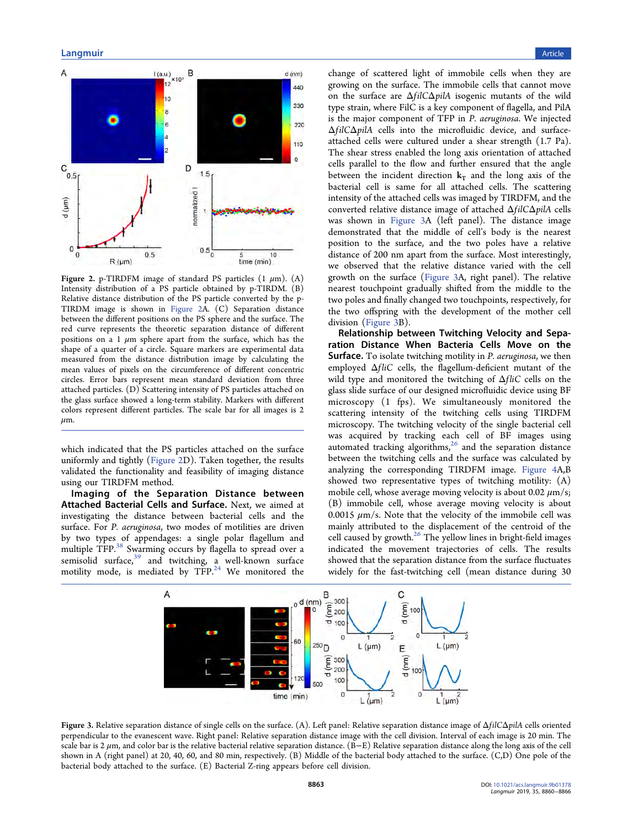<span id="page-3-0"></span>

Figure 2. p-TIRDFM image of standard PS particles  $(1 \mu m)$ .  $(A)$ Intensity distribution of a PS particle obtained by p-TIRDM. (B) Relative distance distribution of the PS particle converted by the p-TIRDM image is shown in Figure 2A. (C) Separation distance between the different positions on the PS sphere and the surface. The red curve represents the theoretic separation distance of different positions on a 1  $\mu$ m sphere apart from the surface, which has the shape of a quarter of a circle. Square markers are experimental data measured from the distance distribution image by calculating the mean values of pixels on the circumference of different concentric circles. Error bars represent mean standard deviation from three attached particles. (D) Scattering intensity of PS particles attached on the glass surface showed a long-term stability. Markers with different colors represent different particles. The scale bar for all images is 2 μm.

which indicated that the PS particles attached on the surface uniformly and tightly (Figure 2D). Taken together, the results validated the functionality and feasibility of imaging distance using our TIRDFM method.

Imaging of the Separation Distance between Attached Bacterial Cells and Surface. Next, we aimed at investigating the distance between bacterial cells and the surface. For P. aeruginosa, two modes of motilities are driven by two types of appendages: a single polar flagellum and multiple TFP.<sup>[38](#page-6-0)</sup> Swarming occurs by flagella to spread over a semisolid surface, $39$  and twitching, a well-known surface motility mode, is mediated by  $TFP.<sup>24</sup>$  We monitored the

change of scattered light of immobile cells when they are growing on the surface. The immobile cells that cannot move on the surface are ΔfilCΔpilA isogenic mutants of the wild type strain, where FilC is a key component of flagella, and PilA is the major component of TFP in P. aeruginosa. We injected ΔfilCΔpilA cells into the microfluidic device, and surfaceattached cells were cultured under a shear strength (1.7 Pa). The shear stress enabled the long axis orientation of attached cells parallel to the flow and further ensured that the angle between the incident direction  $k_T$  and the long axis of the bacterial cell is same for all attached cells. The scattering intensity of the attached cells was imaged by TIRDFM, and the converted relative distance image of attached ΔfilCΔpilA cells was shown in Figure 3A (left panel). The distance image demonstrated that the middle of cell's body is the nearest position to the surface, and the two poles have a relative distance of 200 nm apart from the surface. Most interestingly, we observed that the relative distance varied with the cell growth on the surface (Figure 3A, right panel). The relative nearest touchpoint gradually shifted from the middle to the two poles and finally changed two touchpoints, respectively, for the two offspring with the development of the mother cell division (Figure 3B).

Relationship between Twitching Velocity and Separation Distance When Bacteria Cells Move on the Surface. To isolate twitching motility in P. aeruginosa, we then employed ΔfliC cells, the flagellum-deficient mutant of the wild type and monitored the twitching of ΔfliC cells on the glass slide surface of our designed microfluidic device using BF microscopy (1 fps). We simultaneously monitored the scattering intensity of the twitching cells using TIRDFM microscopy. The twitching velocity of the single bacterial cell was acquired by tracking each cell of BF images using automated tracking algorithms, $26$  and the separation distance between the twitching cells and the surface was calculated by analyzing the corresponding TIRDFM image. [Figure 4A](#page-4-0),B showed two representative types of twitching motility: (A) mobile cell, whose average moving velocity is about 0.02  $\mu$ m/s; (B) immobile cell, whose average moving velocity is about 0.0015  $\mu$ m/s. Note that the velocity of the immobile cell was mainly attributed to the displacement of the centroid of the cell caused by growth. $^{26}$  $^{26}$  $^{26}$  The yellow lines in bright-field images indicated the movement trajectories of cells. The results showed that the separation distance from the surface fluctuates widely for the fast-twitching cell (mean distance during 30



Figure 3. Relative separation distance of single cells on the surface. (A). Left panel: Relative separation distance image of ΔfilCΔpilA cells oriented perpendicular to the evanescent wave. Right panel: Relative separation distance image with the cell division. Interval of each image is 20 min. The scale bar is 2  $\mu$ m, and color bar is the relative bacterial relative separation distance. (B–E) Relative separation distance along the long axis of the cell shown in A (right panel) at 20, 40, 60, and 80 min, respectively. (B) Middle of the bacterial body attached to the surface. (C,D) One pole of the bacterial body attached to the surface. (E) Bacterial Z-ring appears before cell division.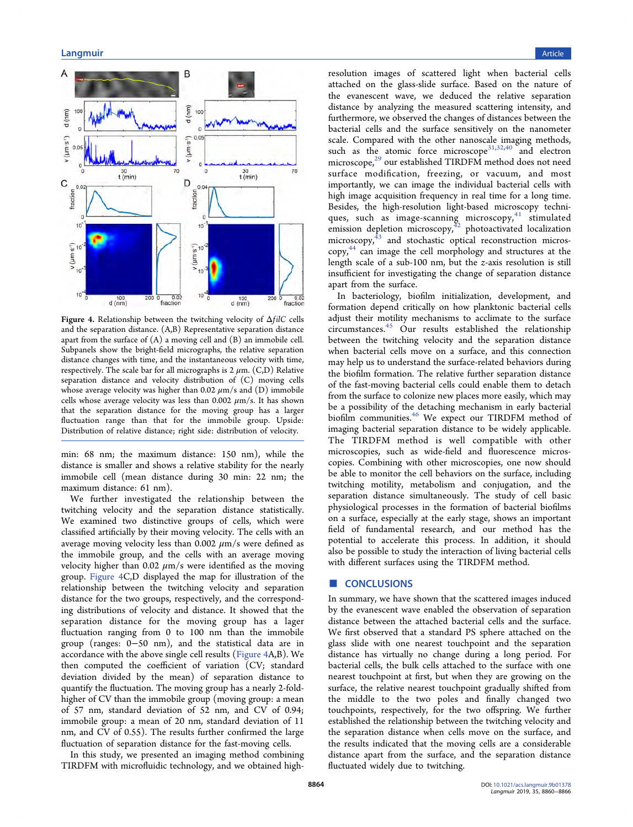<span id="page-4-0"></span>

Figure 4. Relationship between the twitching velocity of  $\Delta filC$  cells and the separation distance.  $(A,B)$  Representative separation distance apart from the surface of (A) a moving cell and (B) an immobile cell. Subpanels show the bright-field micrographs, the relative separation distance changes with time, and the instantaneous velocity with time, respectively. The scale bar for all micrographs is  $2 \mu m$ . (C,D) Relative separation distance and velocity distribution of (C) moving cells whose average velocity was higher than 0.02  $\mu$ m/s and (D) immobile cells whose average velocity was less than 0.002  $\mu$ m/s. It has shown that the separation distance for the moving group has a larger fluctuation range than that for the immobile group. Upside: Distribution of relative distance; right side: distribution of velocity.

min: 68 nm; the maximum distance: 150 nm), while the distance is smaller and shows a relative stability for the nearly immobile cell (mean distance during 30 min: 22 nm; the maximum distance: 61 nm).

We further investigated the relationship between the twitching velocity and the separation distance statistically. We examined two distinctive groups of cells, which were classified artificially by their moving velocity. The cells with an average moving velocity less than  $0.002 \ \mu m/s$  were defined as the immobile group, and the cells with an average moving velocity higher than 0.02  $\mu$ m/s were identified as the moving group. Figure 4C,D displayed the map for illustration of the relationship between the twitching velocity and separation distance for the two groups, respectively, and the corresponding distributions of velocity and distance. It showed that the separation distance for the moving group has a lager fluctuation ranging from 0 to 100 nm than the immobile group (ranges: 0−50 nm), and the statistical data are in accordance with the above single cell results (Figure 4A,B). We then computed the coefficient of variation (CV; standard deviation divided by the mean) of separation distance to quantify the fluctuation. The moving group has a nearly 2-foldhigher of CV than the immobile group (moving group: a mean of 57 nm, standard deviation of 52 nm, and CV of 0.94; immobile group: a mean of 20 nm, standard deviation of 11 nm, and CV of 0.55). The results further confirmed the large fluctuation of separation distance for the fast-moving cells.

In this study, we presented an imaging method combining TIRDFM with microfluidic technology, and we obtained high-

resolution images of scattered light when bacterial cells attached on the glass-slide surface. Based on the nature of the evanescent wave, we deduced the relative separation distance by analyzing the measured scattering intensity, and furthermore, we observed the changes of distances between the bacterial cells and the surface sensitively on the nanometer scale. Compared with the other nanoscale imaging methods, such as the atomic force microscope<sup>31,[32,40](#page-6-0)</sup> and electron microscope,<sup>[29](#page-5-0)</sup> our established TIRDFM method does not need surface modification, freezing, or vacuum, and most importantly, we can image the individual bacterial cells with high image acquisition frequency in real time for a long time. Besides, the high-resolution light-based microscopy techniques, such as image-scanning microscopy, $41$  stimulated emission depletion microscopy, $42$  photoactivated localization microscopy,<sup>[43](#page-6-0)</sup> and stochastic optical reconstruction microscopy,[44](#page-6-0) can image the cell morphology and structures at the length scale of a sub-100 nm, but the z-axis resolution is still insufficient for investigating the change of separation distance apart from the surface.

In bacteriology, biofilm initialization, development, and formation depend critically on how planktonic bacterial cells adjust their motility mechanisms to acclimate to the surface circumstances.[45](#page-6-0) Our results established the relationship between the twitching velocity and the separation distance when bacterial cells move on a surface, and this connection may help us to understand the surface-related behaviors during the biofilm formation. The relative further separation distance of the fast-moving bacterial cells could enable them to detach from the surface to colonize new places more easily, which may be a possibility of the detaching mechanism in early bacterial biofilm communities.<sup>[46](#page-6-0)</sup> We expect our TIRDFM method of imaging bacterial separation distance to be widely applicable. The TIRDFM method is well compatible with other microscopies, such as wide-field and fluorescence microscopies. Combining with other microscopies, one now should be able to monitor the cell behaviors on the surface, including twitching motility, metabolism and conjugation, and the separation distance simultaneously. The study of cell basic physiological processes in the formation of bacterial biofilms on a surface, especially at the early stage, shows an important field of fundamental research, and our method has the potential to accelerate this process. In addition, it should also be possible to study the interaction of living bacterial cells with different surfaces using the TIRDFM method.

#### ■ **CONCLUSIONS**

In summary, we have shown that the scattered images induced by the evanescent wave enabled the observation of separation distance between the attached bacterial cells and the surface. We first observed that a standard PS sphere attached on the glass slide with one nearest touchpoint and the separation distance has virtually no change during a long period. For bacterial cells, the bulk cells attached to the surface with one nearest touchpoint at first, but when they are growing on the surface, the relative nearest touchpoint gradually shifted from the middle to the two poles and finally changed two touchpoints, respectively, for the two offspring. We further established the relationship between the twitching velocity and the separation distance when cells move on the surface, and the results indicated that the moving cells are a considerable distance apart from the surface, and the separation distance fluctuated widely due to twitching.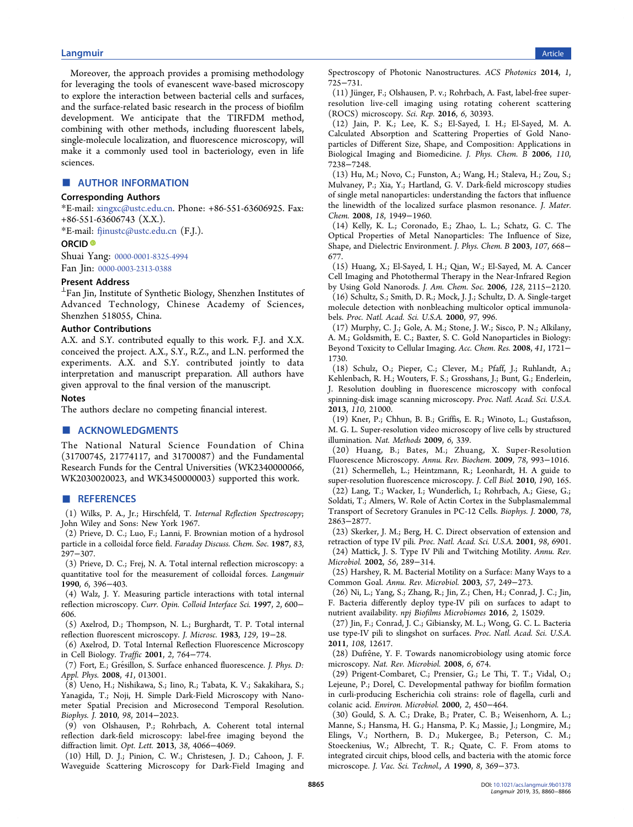# <span id="page-5-0"></span>ang multiple of the control of the control of the control of the control of the control of the control of the c<br>Article of the control of the control of the control of the control of the control of the control of the contr

Moreover, the approach provides a promising methodology for leveraging the tools of evanescent wave-based microscopy to explore the interaction between bacterial cells and surfaces, and the surface-related basic research in the process of biofilm development. We anticipate that the TIRFDM method, combining with other methods, including fluorescent labels, single-molecule localization, and fluorescence microscopy, will make it a commonly used tool in bacteriology, even in life sciences.

#### **E** AUTHOR INFORMATION

#### Corresponding Authors

\*E-mail: [xingxc@ustc.edu.cn.](mailto:xingxc@ustc.edu.cn) Phone: +86-551-63606925. Fax: +86-551-63606743 (X.X.).

\*E-mail: [fjinustc@ustc.edu.cn](mailto:fjinustc@ustc.edu.cn) (F.J.).

#### ORCID<sup>®</sup>

Shuai Yang: [0000-0001-8325-4994](http://orcid.org/0000-0001-8325-4994)

Fan Jin: [0000-0003-2313-0388](http://orcid.org/0000-0003-2313-0388)

#### Present Address

 $\perp$ Fan Jin, Institute of Synthetic Biology, Shenzhen Institutes of Advanced Technology, Chinese Academy of Sciences, Shenzhen 518055, China.

#### Author Contributions

A.X. and S.Y. contributed equally to this work. F.J. and X.X. conceived the project. A.X., S.Y., R.Z., and L.N. performed the experiments. A.X. and S.Y. contributed jointly to data interpretation and manuscript preparation. All authors have given approval to the final version of the manuscript.

#### **Notes**

The authors declare no competing financial interest.

#### ■ ACKNOWLEDGMENTS

The National Natural Science Foundation of China (31700745, 21774117, and 31700087) and the Fundamental Research Funds for the Central Universities (WK2340000066, WK2030020023, and WK3450000003) supported this work.

#### ■ REFERENCES

(1) Wilks, P. A., Jr.; Hirschfeld, T. Internal Reflection Spectroscopy; John Wiley and Sons: New York 1967.

(2) Prieve, D. C.; Luo, F.; Lanni, F. Brownian motion of a hydrosol particle in a colloidal force field. Faraday Discuss. Chem. Soc. 1987, 83, 297−307.

(3) Prieve, D. C.; Frej, N. A. Total internal reflection microscopy: a quantitative tool for the measurement of colloidal forces. Langmuir 1990, 6, 396−403.

(4) Walz, J. Y. Measuring particle interactions with total internal reflection microscopy. Curr. Opin. Colloid Interface Sci. 1997, 2, 600− 606.

(5) Axelrod, D.; Thompson, N. L.; Burghardt, T. P. Total internal reflection fluorescent microscopy. J. Microsc. 1983, 129, 19−28.

(6) Axelrod, D. Total Internal Reflection Fluorescence Microscopy in Cell Biology. Traffic 2001, 2, 764−774.

(7) Fort, E.; Grésillon, S. Surface enhanced fluorescence. J. Phys. D: Appl. Phys. 2008, 41, 013001.

(8) Ueno, H.; Nishikawa, S.; Iino, R.; Tabata, K. V.; Sakakihara, S.; Yanagida, T.; Noji, H. Simple Dark-Field Microscopy with Nanometer Spatial Precision and Microsecond Temporal Resolution. Biophys. J. 2010, 98, 2014−2023.

(9) von Olshausen, P.; Rohrbach, A. Coherent total internal reflection dark-field microscopy: label-free imaging beyond the diffraction limit. Opt. Lett. 2013, 38, 4066−4069.

(10) Hill, D. J.; Pinion, C. W.; Christesen, J. D.; Cahoon, J. F. Waveguide Scattering Microscopy for Dark-Field Imaging and Spectroscopy of Photonic Nanostructures. ACS Photonics 2014, 1, 725−731.

(11) Jünger, F.; Olshausen, P. v.; Rohrbach, A. Fast, label-free superresolution live-cell imaging using rotating coherent scattering (ROCS) microscopy. Sci. Rep. 2016, 6, 30393.

(12) Jain, P. K.; Lee, K. S.; El-Sayed, I. H.; El-Sayed, M. A. Calculated Absorption and Scattering Properties of Gold Nanoparticles of Different Size, Shape, and Composition: Applications in Biological Imaging and Biomedicine. J. Phys. Chem. B 2006, 110, 7238−7248.

(13) Hu, M.; Novo, C.; Funston, A.; Wang, H.; Staleva, H.; Zou, S.; Mulvaney, P.; Xia, Y.; Hartland, G. V. Dark-field microscopy studies of single metal nanoparticles: understanding the factors that influence the linewidth of the localized surface plasmon resonance. J. Mater. Chem. 2008, 18, 1949−1960.

(14) Kelly, K. L.; Coronado, E.; Zhao, L. L.; Schatz, G. C. The Optical Properties of Metal Nanoparticles: The Influence of Size, Shape, and Dielectric Environment. J. Phys. Chem. B 2003, 107, 668− 677.

(15) Huang, X.; El-Sayed, I. H.; Qian, W.; El-Sayed, M. A. Cancer Cell Imaging and Photothermal Therapy in the Near-Infrared Region by Using Gold Nanorods. J. Am. Chem. Soc. 2006, 128, 2115−2120. (16) Schultz, S.; Smith, D. R.; Mock, J. J.; Schultz, D. A. Single-target molecule detection with nonbleaching multicolor optical immunolabels. Proc. Natl. Acad. Sci. U.S.A. 2000, 97, 996.

(17) Murphy, C. J.; Gole, A. M.; Stone, J. W.; Sisco, P. N.; Alkilany, A. M.; Goldsmith, E. C.; Baxter, S. C. Gold Nanoparticles in Biology: Beyond Toxicity to Cellular Imaging. Acc. Chem. Res. 2008, 41, 1721− 1730.

(18) Schulz, O.; Pieper, C.; Clever, M.; Pfaff, J.; Ruhlandt, A.; Kehlenbach, R. H.; Wouters, F. S.; Grosshans, J.; Bunt, G.; Enderlein, J. Resolution doubling in fluorescence microscopy with confocal spinning-disk image scanning microscopy. Proc. Natl. Acad. Sci. U.S.A. 2013, 110, 21000.

(19) Kner, P.; Chhun, B. B.; Griffis, E. R.; Winoto, L.; Gustafsson, M. G. L. Super-resolution video microscopy of live cells by structured illumination. Nat. Methods 2009, 6, 339.

(20) Huang, B.; Bates, M.; Zhuang, X. Super-Resolution Fluorescence Microscopy. Annu. Rev. Biochem. 2009, 78, 993−1016. (21) Schermelleh, L.; Heintzmann, R.; Leonhardt, H. A guide to

super-resolution fluorescence microscopy. J. Cell Biol. 2010, 190, 165. (22) Lang, T.; Wacker, I.; Wunderlich, I.; Rohrbach, A.; Giese, G.;

Soldati, T.; Almers, W. Role of Actin Cortex in the Subplasmalemmal Transport of Secretory Granules in PC-12 Cells. Biophys. J. 2000, 78, 2863−2877.

(23) Skerker, J. M.; Berg, H. C. Direct observation of extension and retraction of type IV pili. Proc. Natl. Acad. Sci. U.S.A. 2001, 98, 6901.

(24) Mattick, J. S. Type IV Pili and Twitching Motility. Annu. Rev. Microbiol. 2002, 56, 289−314.

(25) Harshey, R. M. Bacterial Motility on a Surface: Many Ways to a Common Goal. Annu. Rev. Microbiol. 2003, 57, 249−273.

(26) Ni, L.; Yang, S.; Zhang, R.; Jin, Z.; Chen, H.; Conrad, J. C.; Jin, F. Bacteria differently deploy type-IV pili on surfaces to adapt to nutrient availability. npj Biofilms Microbiomes 2016, 2, 15029.

(27) Jin, F.; Conrad, J. C.; Gibiansky, M. L.; Wong, G. C. L. Bacteria use type-IV pili to slingshot on surfaces. Proc. Natl. Acad. Sci. U.S.A. 2011, 108, 12617.

(28) Dufrêne, Y. F. Towards nanomicrobiology using atomic force microscopy. Nat. Rev. Microbiol. 2008, 6, 674.

(29) Prigent-Combaret, C.; Prensier, G.; Le Thi, T. T.; Vidal, O.; Lejeune, P.; Dorel, C. Developmental pathway for biofilm formation in curli-producing Escherichia coli strains: role of flagella, curli and colanic acid. Environ. Microbiol. 2000, 2, 450−464.

(30) Gould, S. A. C.; Drake, B.; Prater, C. B.; Weisenhorn, A. L.; Manne, S.; Hansma, H. G.; Hansma, P. K.; Massie, J.; Longmire, M.; Elings, V.; Northern, B. D.; Mukergee, B.; Peterson, C. M.; Stoeckenius, W.; Albrecht, T. R.; Quate, C. F. From atoms to integrated circuit chips, blood cells, and bacteria with the atomic force microscope. J. Vac. Sci. Technol., A 1990, 8, 369−373.